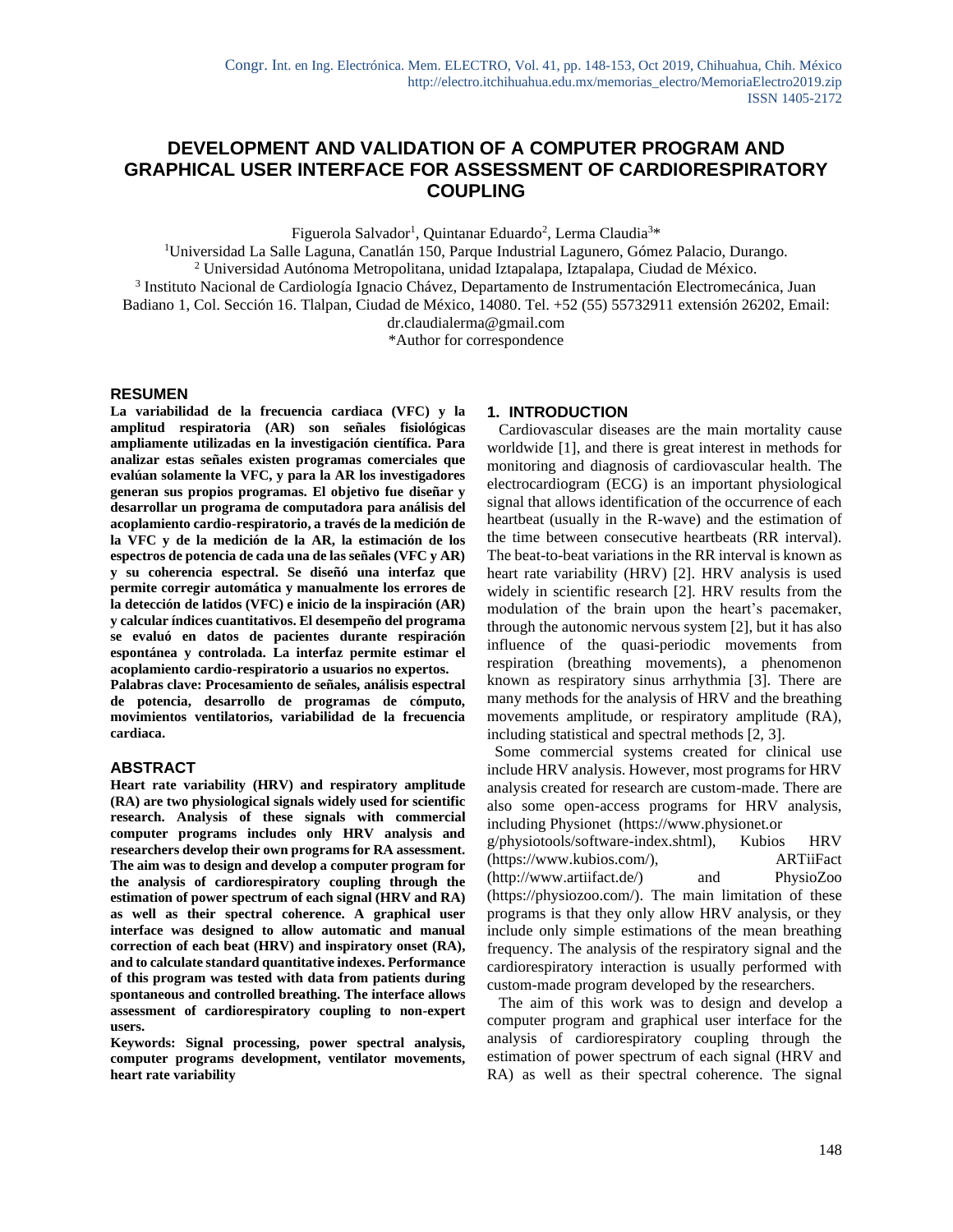# **DEVELOPMENT AND VALIDATION OF A COMPUTER PROGRAM AND GRAPHICAL USER INTERFACE FOR ASSESSMENT OF CARDIORESPIRATORY COUPLING**

Figuerola Salvador<sup>1</sup>, Quintanar Eduardo<sup>2</sup>, Lerma Claudia<sup>3\*</sup>

<sup>1</sup>Universidad La Salle Laguna, Canatlán 150, Parque Industrial Lagunero, Gómez Palacio, Durango. <sup>2</sup> Universidad Autónoma Metropolitana, unidad Iztapalapa, Iztapalapa, Ciudad de México.

<sup>3</sup> Instituto Nacional de Cardiología Ignacio Chávez, Departamento de Instrumentación Electromecánica, Juan

Badiano 1, Col. Sección 16. Tlalpan, Ciudad de México, 14080. Tel. +52 (55) 55732911 extensión 26202, Email:

dr.claudialerma@gmail.com

\*Author for correspondence

#### **RESUMEN**

**La variabilidad de la frecuencia cardiaca (VFC) y la amplitud respiratoria (AR) son señales fisiológicas ampliamente utilizadas en la investigación científica. Para analizar estas señales existen programas comerciales que evalúan solamente la VFC, y para la AR los investigadores generan sus propios programas. El objetivo fue diseñar y desarrollar un programa de computadora para análisis del acoplamiento cardio-respiratorio, a través de la medición de la VFC y de la medición de la AR, la estimación de los espectros de potencia de cada una de las señales (VFC y AR) y su coherencia espectral. Se diseñó una interfaz que permite corregir automática y manualmente los errores de la detección de latidos (VFC) e inicio de la inspiración (AR) y calcular índices cuantitativos. El desempeño del programa se evaluó en datos de pacientes durante respiración espontánea y controlada. La interfaz permite estimar el acoplamiento cardio-respiratorio a usuarios no expertos.**

**Palabras clave: Procesamiento de señales, análisis espectral de potencia, desarrollo de programas de cómputo, movimientos ventilatorios, variabilidad de la frecuencia cardiaca.**

## **ABSTRACT**

**Heart rate variability (HRV) and respiratory amplitude (RA) are two physiological signals widely used for scientific research. Analysis of these signals with commercial computer programs includes only HRV analysis and researchers develop their own programs for RA assessment. The aim was to design and develop a computer program for the analysis of cardiorespiratory coupling through the estimation of power spectrum of each signal (HRV and RA) as well as their spectral coherence. A graphical user interface was designed to allow automatic and manual correction of each beat (HRV) and inspiratory onset (RA), and to calculate standard quantitative indexes. Performance of this program was tested with data from patients during spontaneous and controlled breathing. The interface allows assessment of cardiorespiratory coupling to non-expert users.** 

**Keywords: Signal processing, power spectral analysis, computer programs development, ventilator movements, heart rate variability**

## **1. INTRODUCTION**

 Cardiovascular diseases are the main mortality cause worldwide [1], and there is great interest in methods for monitoring and diagnosis of cardiovascular health. The electrocardiogram (ECG) is an important physiological signal that allows identification of the occurrence of each heartbeat (usually in the R-wave) and the estimation of the time between consecutive heartbeats (RR interval). The beat-to-beat variations in the RR interval is known as heart rate variability (HRV) [2]. HRV analysis is used widely in scientific research [2]. HRV results from the modulation of the brain upon the heart's pacemaker, through the autonomic nervous system [2], but it has also influence of the quasi-periodic movements from respiration (breathing movements), a phenomenon known as respiratory sinus arrhythmia [3]. There are many methods for the analysis of HRV and the breathing movements amplitude, or respiratory amplitude (RA), including statistical and spectral methods [2, 3].

 Some commercial systems created for clinical use include HRV analysis. However, most programs for HRV analysis created for research are custom-made. There are also some open-access programs for HRV analysis, including Physionet (https://www.physionet.or g/physiotools/software-index.shtml), Kubios HRV (https://www.kubios.com/), ARTiiFact (http://www.artiifact.de/) and PhysioZoo (https://physiozoo.com/). The main limitation of these programs is that they only allow HRV analysis, or they include only simple estimations of the mean breathing frequency. The analysis of the respiratory signal and the cardiorespiratory interaction is usually performed with custom-made program developed by the researchers.

 The aim of this work was to design and develop a computer program and graphical user interface for the analysis of cardiorespiratory coupling through the estimation of power spectrum of each signal (HRV and RA) as well as their spectral coherence. The signal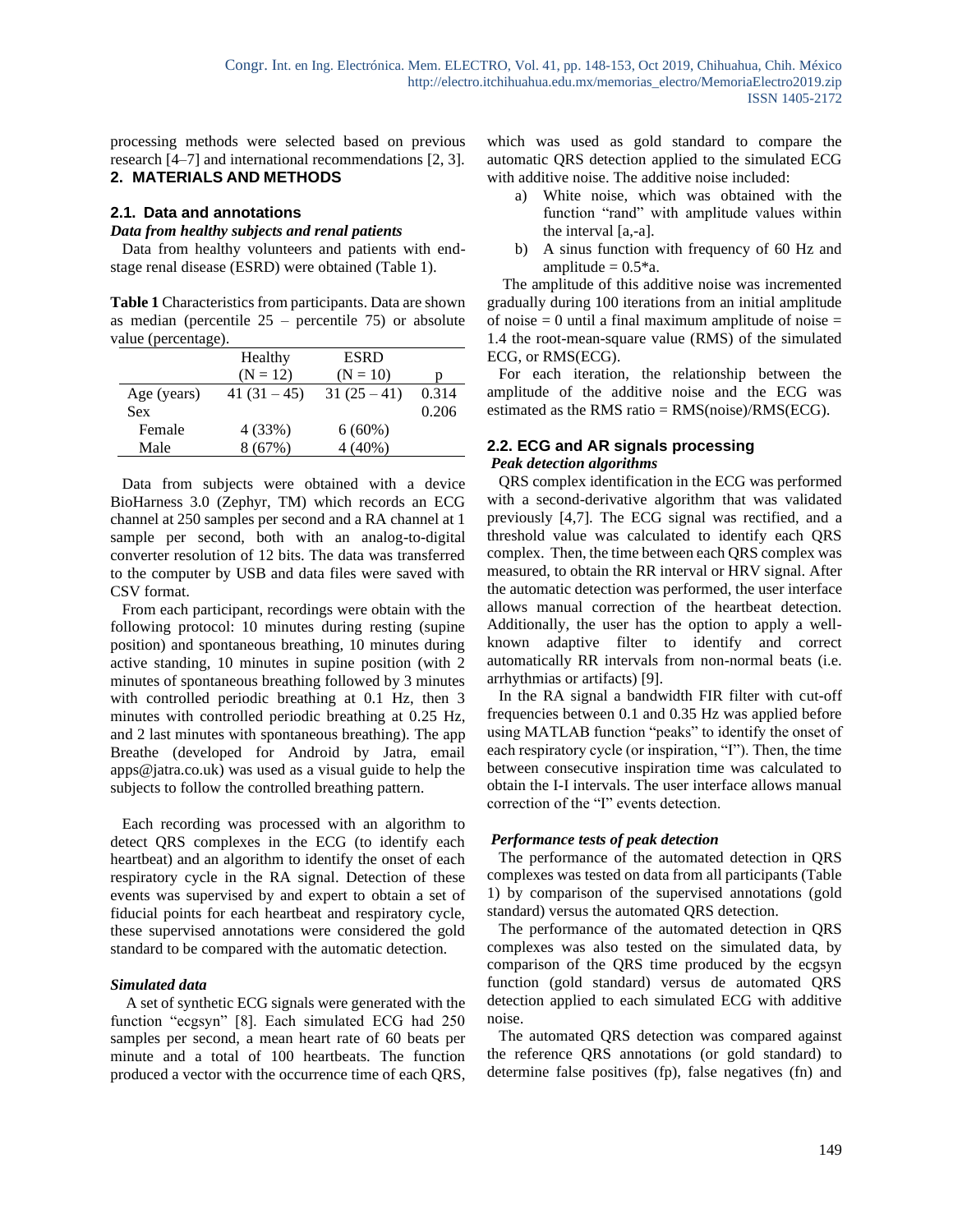processing methods were selected based on previous research [4–7] and international recommendations [2, 3].

# **2. MATERIALS AND METHODS**

# **2.1. Data and annotations**

# *Data from healthy subjects and renal patients*

 Data from healthy volunteers and patients with endstage renal disease (ESRD) were obtained (Table 1).

**Table 1** Characteristics from participants. Data are shown as median (percentile  $25$  – percentile 75) or absolute value (percentage).

|             | Healthy        | <b>ESRD</b> |       |
|-------------|----------------|-------------|-------|
|             | $(N = 12)$     | $(N = 10)$  |       |
| Age (years) | 41 $(31 - 45)$ | $31(25-41)$ | 0.314 |
| <b>Sex</b>  |                |             | 0.206 |
| Female      | 4 (33%)        | $6(60\%)$   |       |
| Male        | 8 (67%)        | 4 (40%)     |       |

 Data from subjects were obtained with a device BioHarness 3.0 (Zephyr, TM) which records an ECG channel at 250 samples per second and a RA channel at 1 sample per second, both with an analog-to-digital converter resolution of 12 bits. The data was transferred to the computer by USB and data files were saved with CSV format.

 From each participant, recordings were obtain with the following protocol: 10 minutes during resting (supine position) and spontaneous breathing, 10 minutes during active standing, 10 minutes in supine position (with 2 minutes of spontaneous breathing followed by 3 minutes with controlled periodic breathing at 0.1 Hz, then 3 minutes with controlled periodic breathing at 0.25 Hz, and 2 last minutes with spontaneous breathing). The app Breathe (developed for Android by Jatra, email apps@jatra.co.uk) was used as a visual guide to help the subjects to follow the controlled breathing pattern.

 Each recording was processed with an algorithm to detect QRS complexes in the ECG (to identify each heartbeat) and an algorithm to identify the onset of each respiratory cycle in the RA signal. Detection of these events was supervised by and expert to obtain a set of fiducial points for each heartbeat and respiratory cycle, these supervised annotations were considered the gold standard to be compared with the automatic detection.

#### *Simulated data*

 A set of synthetic ECG signals were generated with the function "ecgsyn" [8]. Each simulated ECG had 250 samples per second, a mean heart rate of 60 beats per minute and a total of 100 heartbeats. The function produced a vector with the occurrence time of each QRS, which was used as gold standard to compare the automatic QRS detection applied to the simulated ECG with additive noise. The additive noise included:

- a) White noise, which was obtained with the function "rand" with amplitude values within the interval [a,-a].
- b) A sinus function with frequency of 60 Hz and amplitude  $= 0.5$ <sup>\*</sup>a.

 The amplitude of this additive noise was incremented gradually during 100 iterations from an initial amplitude of noise  $= 0$  until a final maximum amplitude of noise  $=$ 1.4 the root-mean-square value (RMS) of the simulated ECG, or RMS(ECG).

 For each iteration, the relationship between the amplitude of the additive noise and the ECG was estimated as the RMS ratio = RMS(noise)/RMS(ECG).

# **2.2. ECG and AR signals processing** *Peak detection algorithms*

QRS complex identification in the ECG was performed with a second-derivative algorithm that was validated previously [4,7]. The ECG signal was rectified, and a threshold value was calculated to identify each QRS complex. Then, the time between each QRS complex was measured, to obtain the RR interval or HRV signal. After the automatic detection was performed, the user interface allows manual correction of the heartbeat detection. Additionally, the user has the option to apply a wellknown adaptive filter to identify and correct automatically RR intervals from non-normal beats (i.e. arrhythmias or artifacts) [9].

 In the RA signal a bandwidth FIR filter with cut-off frequencies between 0.1 and 0.35 Hz was applied before using MATLAB function "peaks" to identify the onset of each respiratory cycle (or inspiration, "I"). Then, the time between consecutive inspiration time was calculated to obtain the I-I intervals. The user interface allows manual correction of the "I" events detection.

## *Performance tests of peak detection*

 The performance of the automated detection in QRS complexes was tested on data from all participants (Table 1) by comparison of the supervised annotations (gold standard) versus the automated QRS detection.

 The performance of the automated detection in QRS complexes was also tested on the simulated data, by comparison of the QRS time produced by the ecgsyn function (gold standard) versus de automated QRS detection applied to each simulated ECG with additive noise.

 The automated QRS detection was compared against the reference QRS annotations (or gold standard) to determine false positives (fp), false negatives (fn) and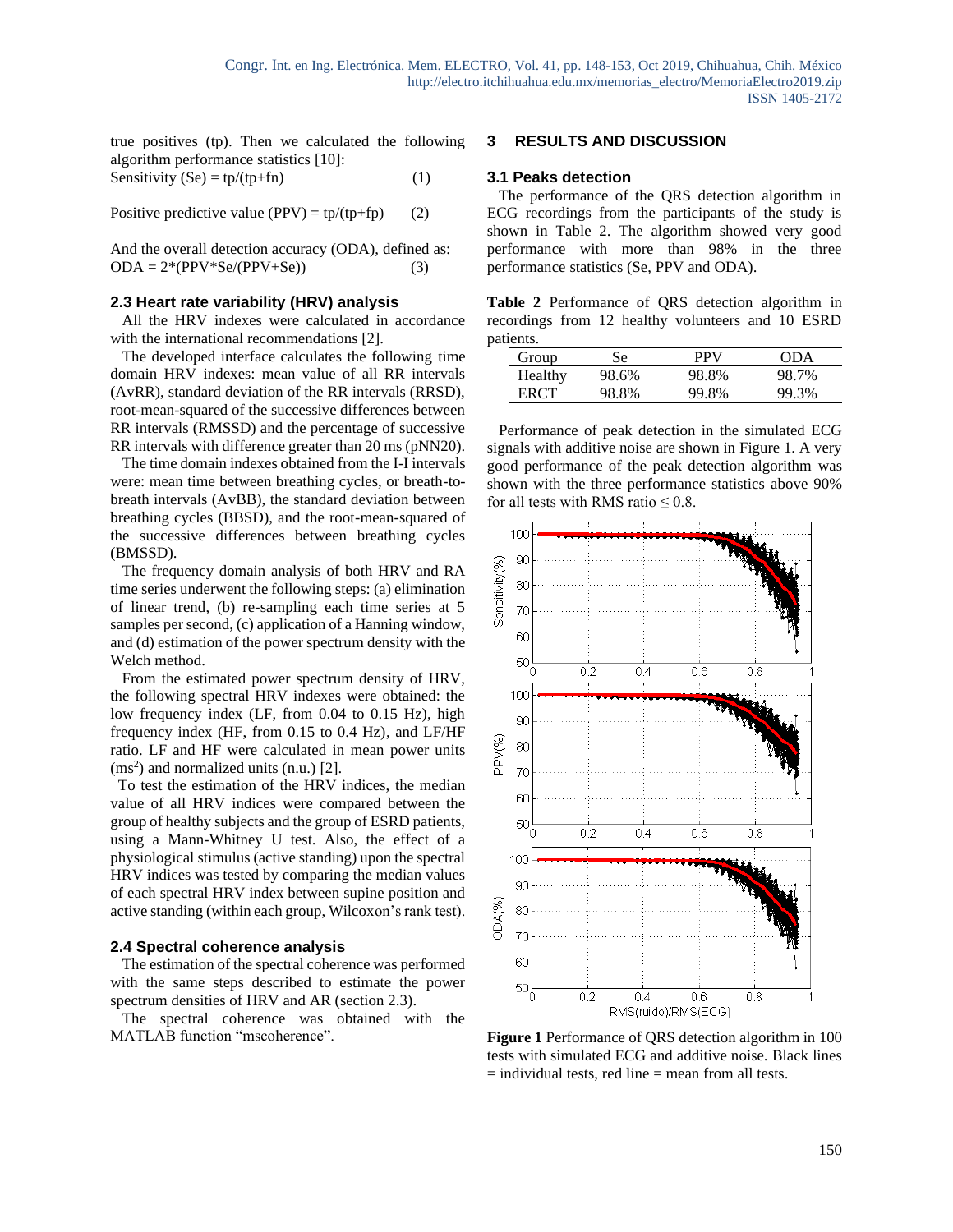true positives (tp). Then we calculated the following algorithm performance statistics [10]:

Sensitivity (Se) = 
$$
tp/(tp+fn)
$$
 (1)

Positive predictive value (PPV) =  $tp/(tp+fp)$  (2)

And the overall detection accuracy (ODA), defined as:  $ODA = 2*(PPV*Se/(PPV+Se))$  (3)

# **2.3 Heart rate variability (HRV) analysis**

 All the HRV indexes were calculated in accordance with the international recommendations [2].

 The developed interface calculates the following time domain HRV indexes: mean value of all RR intervals (AvRR), standard deviation of the RR intervals (RRSD), root-mean-squared of the successive differences between RR intervals (RMSSD) and the percentage of successive RR intervals with difference greater than 20 ms (pNN20).

 The time domain indexes obtained from the I-I intervals were: mean time between breathing cycles, or breath-tobreath intervals (AvBB), the standard deviation between breathing cycles (BBSD), and the root-mean-squared of the successive differences between breathing cycles (BMSSD).

 The frequency domain analysis of both HRV and RA time series underwent the following steps: (a) elimination of linear trend, (b) re-sampling each time series at 5 samples per second, (c) application of a Hanning window, and (d) estimation of the power spectrum density with the Welch method.

 From the estimated power spectrum density of HRV, the following spectral HRV indexes were obtained: the low frequency index (LF, from 0.04 to 0.15 Hz), high frequency index (HF, from 0.15 to 0.4 Hz), and LF/HF ratio. LF and HF were calculated in mean power units (ms 2 ) and normalized units (n.u.) [2].

 To test the estimation of the HRV indices, the median value of all HRV indices were compared between the group of healthy subjects and the group of ESRD patients, using a Mann-Whitney U test. Also, the effect of a physiological stimulus (active standing) upon the spectral HRV indices was tested by comparing the median values of each spectral HRV index between supine position and active standing (within each group, Wilcoxon's rank test).

#### **2.4 Spectral coherence analysis**

 The estimation of the spectral coherence was performed with the same steps described to estimate the power spectrum densities of HRV and AR (section 2.3).

 The spectral coherence was obtained with the MATLAB function "mscoherence".

# **3 RESULTS AND DISCUSSION**

# **3.1 Peaks detection**

 The performance of the QRS detection algorithm in ECG recordings from the participants of the study is shown in Table 2. The algorithm showed very good performance with more than 98% in the three performance statistics (Se, PPV and ODA).

**Table 2** Performance of QRS detection algorithm in recordings from 12 healthy volunteers and 10 ESRD patients.

| Group   | Se    | PPV   | ODA   |
|---------|-------|-------|-------|
| Healthy | 98.6% | 98.8% | 98.7% |
| ERCT    | 98.8% | 99.8% | 99.3% |

 Performance of peak detection in the simulated ECG signals with additive noise are shown in Figure 1. A very good performance of the peak detection algorithm was shown with the three performance statistics above 90% for all tests with RMS ratio  $\leq 0.8$ .



**Figure 1** Performance of QRS detection algorithm in 100 tests with simulated ECG and additive noise. Black lines  $=$  individual tests, red line  $=$  mean from all tests.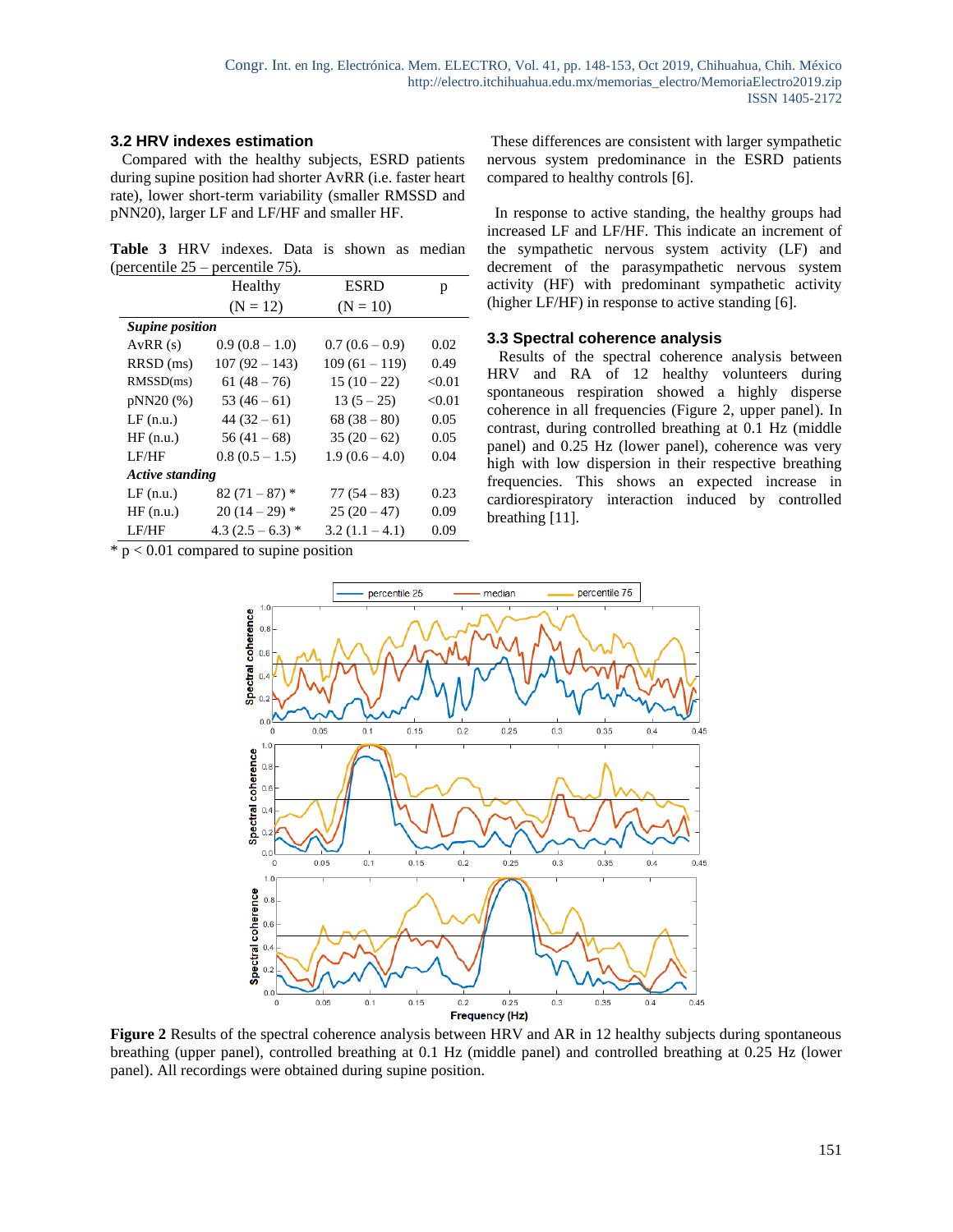# **3.2 HRV indexes estimation**

 Compared with the healthy subjects, ESRD patients during supine position had shorter AvRR (i.e. faster heart rate), lower short-term variability (smaller RMSSD and pNN20), larger LF and LF/HF and smaller HF.

**Table 3** HRV indexes. Data is shown as median (percentile 25 – percentile 75).

|                        | Healthy             | <b>ESRD</b>      | р      |  |  |
|------------------------|---------------------|------------------|--------|--|--|
|                        | $(N = 12)$          | $(N = 10)$       |        |  |  |
| <b>Supine position</b> |                     |                  |        |  |  |
| AvRR(s)                | $0.9(0.8-1.0)$      | $0.7(0.6-0.9)$   | 0.02   |  |  |
| RRSD (ms)              | $107(92 - 143)$     | $109(61 - 119)$  | 0.49   |  |  |
| RMSSD(ms)              | $61(48-76)$         | $15(10-22)$      | < 0.01 |  |  |
| pNN20 (%)              | $53(46-61)$         | $13(5-25)$       | < 0.01 |  |  |
| $LF$ $(n.u.)$          | $44(32-61)$         | $68(38-80)$      | 0.05   |  |  |
| HF(n.u.)               | $56(41-68)$         | $35(20-62)$      | 0.05   |  |  |
| LF/HF                  | $0.8(0.5-1.5)$      | $1.9(0.6 - 4.0)$ | 0.04   |  |  |
| <b>Active standing</b> |                     |                  |        |  |  |
| $LF$ $(n.u.)$          | $82(71-87)$ *       | $77(54-83)$      | 0.23   |  |  |
| HF(n.u.)               | $20(14-29)$ *       | $25(20-47)$      | 0.09   |  |  |
| LF/HF                  | 4.3 $(2.5 - 6.3)$ * | $3.2(1.1 - 4.1)$ | 0.09   |  |  |

 $*$  p < 0.01 compared to supine position

These differences are consistent with larger sympathetic nervous system predominance in the ESRD patients compared to healthy controls [6].

 In response to active standing, the healthy groups had increased LF and LF/HF. This indicate an increment of the sympathetic nervous system activity (LF) and decrement of the parasympathetic nervous system activity (HF) with predominant sympathetic activity (higher LF/HF) in response to active standing [6].

# **3.3 Spectral coherence analysis**

 Results of the spectral coherence analysis between HRV and RA of 12 healthy volunteers during spontaneous respiration showed a highly disperse coherence in all frequencies (Figure 2, upper panel). In contrast, during controlled breathing at 0.1 Hz (middle panel) and 0.25 Hz (lower panel), coherence was very high with low dispersion in their respective breathing frequencies. This shows an expected increase in cardiorespiratory interaction induced by controlled breathing [11].



**Figure** 2 Results of the spectral coherence analysis between HRV and AR in 12 healthy subjects during spontaneous breathing (upper panel), controlled breathing at 0.1 Hz (middle panel) and controlled breathing at 0.25 Hz (lower panel). All recordings were obtained during supine position.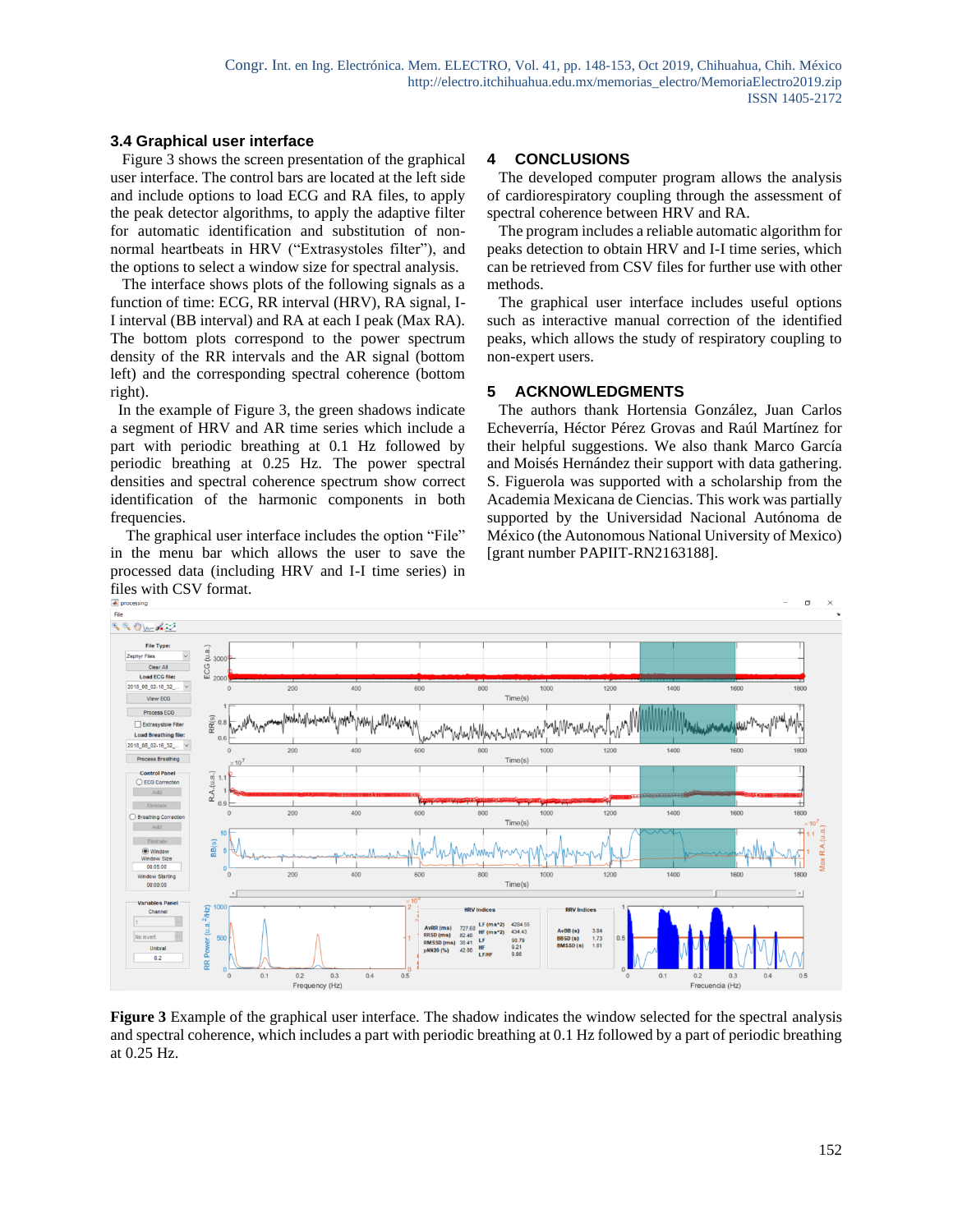# **3.4 Graphical user interface**

 Figure 3 shows the screen presentation of the graphical user interface. The control bars are located at the left side and include options to load ECG and RA files, to apply the peak detector algorithms, to apply the adaptive filter for automatic identification and substitution of nonnormal heartbeats in HRV ("Extrasystoles filter"), and the options to select a window size for spectral analysis.

 The interface shows plots of the following signals as a function of time: ECG, RR interval (HRV), RA signal, I-I interval (BB interval) and RA at each I peak (Max RA). The bottom plots correspond to the power spectrum density of the RR intervals and the AR signal (bottom left) and the corresponding spectral coherence (bottom right).

 In the example of Figure 3, the green shadows indicate a segment of HRV and AR time series which include a part with periodic breathing at 0.1 Hz followed by periodic breathing at 0.25 Hz. The power spectral densities and spectral coherence spectrum show correct identification of the harmonic components in both frequencies.

 The graphical user interface includes the option "File" in the menu bar which allows the user to save the processed data (including HRV and I-I time series) in files with CSV format.

# **4 CONCLUSIONS**

 The developed computer program allows the analysis of cardiorespiratory coupling through the assessment of spectral coherence between HRV and RA.

 The program includes a reliable automatic algorithm for peaks detection to obtain HRV and I-I time series, which can be retrieved from CSV files for further use with other methods.

 The graphical user interface includes useful options such as interactive manual correction of the identified peaks, which allows the study of respiratory coupling to non-expert users.

## **5 ACKNOWLEDGMENTS**

 The authors thank Hortensia González, Juan Carlos Echeverría, Héctor Pérez Grovas and Raúl Martínez for their helpful suggestions. We also thank Marco García and Moisés Hernández their support with data gathering. S. Figuerola was supported with a scholarship from the Academia Mexicana de Ciencias. This work was partially supported by the Universidad Nacional Autónoma de México (the Autonomous National University of Mexico) [grant number PAPIIT-RN2163188].



**Figure 3** Example of the graphical user interface. The shadow indicates the window selected for the spectral analysis and spectral coherence, which includes a part with periodic breathing at 0.1 Hz followed by a part of periodic breathing at 0.25 Hz.